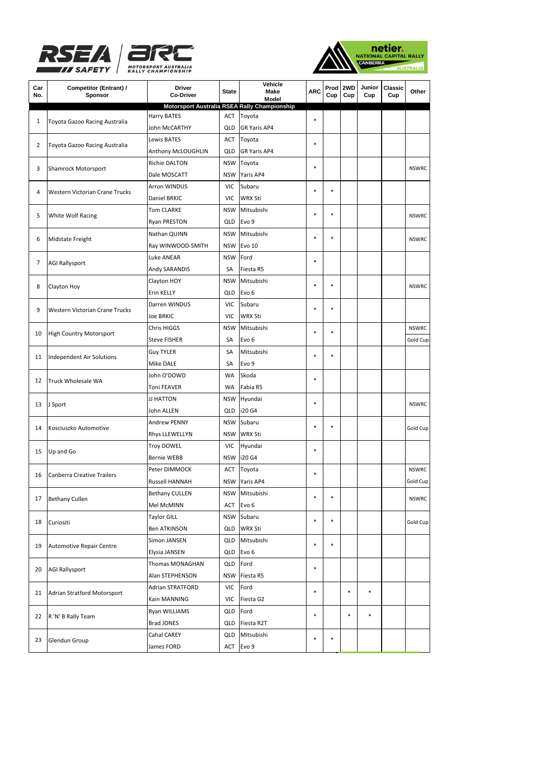





| Car<br>No. | Competitor (Entrant) /<br>Sponsor                   | <b>Driver</b><br><b>Co-Driver</b> | <b>State</b> | Vehicle<br>Make<br>Model      | <b>ARC</b> | Prod<br>Cup | 2WD<br>Cup | Junior<br>Cup | Classic<br>Cup | Other        |
|------------|-----------------------------------------------------|-----------------------------------|--------------|-------------------------------|------------|-------------|------------|---------------|----------------|--------------|
|            | <b>Motorsport Australia RSEA Rally Championship</b> |                                   |              |                               |            |             |            |               |                |              |
| 1          | Toyota Gazoo Racing Australia                       | Harry BATES<br>John McCARTHY      | ACT<br>QLD   | Toyota<br><b>GR Yaris AP4</b> | $\ast$     |             |            |               |                |              |
| 2          | Toyota Gazoo Racing Australia                       | Lewis BATES                       | ACT          | Toyota                        |            |             |            |               |                |              |
|            |                                                     | Anthony McLOUGHLIN                | QLD          | <b>GR Yaris AP4</b>           | $\ast$     |             |            |               |                |              |
|            |                                                     | Richie DALTON                     | <b>NSW</b>   | Toyota                        |            |             |            |               |                |              |
| 3          | <b>Shamrock Motorsport</b>                          | Dale MOSCATT                      | <b>NSW</b>   | Yaris AP4                     | $\ast$     |             |            |               |                | <b>NSWRC</b> |
|            | Western Victorian Crane Trucks                      | <b>Arron WINDUS</b>               | <b>VIC</b>   | Subaru                        |            |             |            |               |                |              |
| 4          |                                                     | Daniel BRKIC                      | <b>VIC</b>   | <b>WRX Sti</b>                | $\ast$     | $\ast$      |            |               |                |              |
|            | <b>White Wolf Racing</b>                            | <b>Tom CLARKE</b>                 | <b>NSW</b>   | Mitsubishi                    |            |             |            |               |                |              |
| 5          |                                                     | Ryan PRESTON                      | QLD          | Evo 9                         | $\ast$     | $\ast$      |            |               |                | <b>NSWRC</b> |
|            | Midstate Freight                                    | Nathan QUINN                      | <b>NSW</b>   | Mitsubishi                    |            |             |            |               |                |              |
| 6          |                                                     | Ray WINWOOD-SMITH                 | <b>NSW</b>   | <b>Evo 10</b>                 | $\ast$     | $\ast$      |            |               |                | <b>NSWRC</b> |
|            |                                                     | <b>Luke ANEAR</b>                 | <b>NSW</b>   | Ford                          |            |             |            |               |                |              |
| 7          | <b>AGI Rallysport</b>                               | Andy SARANDIS                     | SA           | Fiesta R5                     | $\ast$     |             |            |               |                |              |
|            |                                                     | Clayton HOY                       | <b>NSW</b>   | Mitsubishi                    |            |             |            |               |                |              |
| 8          | Clayton Hoy                                         | Erin KELLY                        | QLD          | Evo 6                         | $\ast$     | $\ast$      |            |               |                | <b>NSWRC</b> |
|            |                                                     | Darren WINDUS                     | <b>VIC</b>   | Subaru                        |            |             |            |               |                |              |
| 9          | <b>Western Victorian Crane Trucks</b>               | <b>Joe BRKIC</b>                  | <b>VIC</b>   | <b>WRX Sti</b>                | $\ast$     | $\ast$      |            |               |                |              |
| 10         | <b>High Country Motorsport</b>                      |                                   | <b>NSW</b>   | Mitsubishi                    |            |             |            |               |                |              |
|            |                                                     | Chris HIGGS                       |              |                               | $\ast$     | $\ast$      |            |               |                | <b>NSWRC</b> |
| 11         | Independent Air Solutions                           | <b>Steve FISHER</b>               | SA           | Evo <sub>6</sub>              |            |             |            |               |                | Gold Cup     |
|            |                                                     | Guy TYLER                         | SA           | Mitsubishi                    | $\ast$     | $\ast$      |            |               |                |              |
|            |                                                     | <b>Mike DALE</b>                  | SA           | Evo 9                         |            |             |            |               |                |              |
| 12         | <b>Truck Wholesale WA</b>                           | John O'DOWD                       | WA           | Skoda                         | $\ast$     |             |            |               |                |              |
|            |                                                     | Toni FEAVER                       | <b>WA</b>    | Fabia R5                      |            |             |            |               |                |              |
| 13         | J Sport                                             | JJ HATTON                         | <b>NSW</b>   | Hyundai                       | $\ast$     |             |            |               |                | <b>NSWRC</b> |
|            |                                                     | John ALLEN                        | QLD          | i20 G4                        |            |             |            |               |                |              |
| 14         | Kosciuszko Automotive                               | <b>Andrew PENNY</b>               | <b>NSW</b>   | Subaru                        | $\ast$     | $\ast$      |            |               |                | Gold Cup     |
|            |                                                     | Rhys LLEWELLYN                    | <b>NSW</b>   | <b>WRX Sti</b>                |            |             |            |               |                |              |
| 15         | Up and Go                                           | Troy DOWEL                        | <b>VIC</b>   | Hyundai                       | $\ast$     |             |            |               |                |              |
|            |                                                     | <b>Bernie WEBB</b>                | <b>NSW</b>   | i20 G4                        |            |             |            |               |                |              |
| 16         | <b>Canberra Creative Trailers</b>                   | Peter DIMMOCK                     | ACT          | Toyota                        | *          |             |            |               |                | <b>NSWRC</b> |
|            |                                                     | <b>Russell HANNAH</b>             |              | NSW Yaris AP4                 |            |             |            |               |                | Gold Cup     |
| 17         | <b>Bethany Cullen</b>                               | <b>Bethany CULLEN</b>             | <b>NSW</b>   | Mitsubishi                    | $\ast$     | $\ast$      |            |               |                | <b>NSWRC</b> |
|            |                                                     | Mel McMINN                        | ACT          | Evo 6                         |            |             |            |               |                |              |
| 18         | Curiositi                                           | Taylor GILL                       | <b>NSW</b>   | Subaru                        | $\ast$     | $\ast$      |            |               |                | Gold Cup     |
|            |                                                     | Ben ATKINSON                      | QLD          | <b>WRX Sti</b>                |            |             |            |               |                |              |
| 19         | Automotive Repair Centre                            | Simon JANSEN                      | QLD          | Mitsubishi                    | *          | $\ast$      |            |               |                |              |
|            |                                                     | Elysia JANSEN                     |              | QLD Evo 6                     |            |             |            |               |                |              |
| 20         | <b>AGI Rallysport</b>                               | Thomas MONAGHAN                   | QLD          | Ford                          | $\ast$     |             |            |               |                |              |
|            |                                                     | Alan STEPHENSON                   | <b>NSW</b>   | Fiesta R5                     |            |             |            |               |                |              |
| 21         | Adrian Stratford Motorsport                         | <b>Adrian STRATFORD</b>           | VIC          | Ford                          | $\ast$     |             | $\ast$     | $\ast$        |                |              |
|            |                                                     | Kain MANNING                      | VIC          | Fiesta G2                     |            |             |            |               |                |              |
|            |                                                     | Ryan WILLIAMS                     | QLD          | Ford                          | *          |             | $\ast$     | $\ast$        |                |              |
| 22         | R 'N' B Rally Team                                  | Brad JONES                        |              | QLD Fiesta R2T                |            |             |            |               |                |              |
|            |                                                     | Cahal CAREY                       | QLD          | Mitsubishi                    | *          | $\ast$      |            |               |                |              |
| 23         | Glendun Group                                       | James FORD                        |              | ACT Evo 9                     |            |             |            |               |                |              |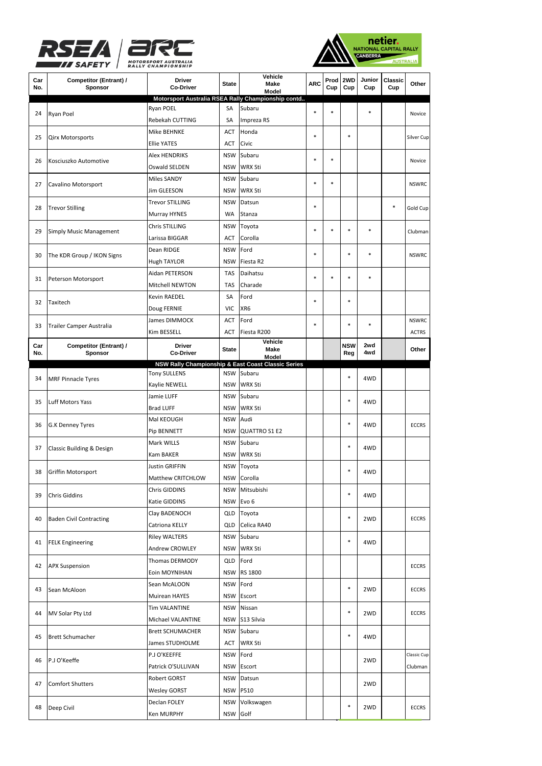





| Car<br>No. | Competitor (Entrant) /<br>Sponsor                                                                | <b>Driver</b><br><b>Co-Driver</b>    | <b>State</b>             | Vehicle<br>Make<br>Model                           | <b>ARC</b> | Prod<br>Cup | 2WD<br>Cup | Junior<br>Cup | Classic<br>Cup | Other        |
|------------|--------------------------------------------------------------------------------------------------|--------------------------------------|--------------------------|----------------------------------------------------|------------|-------------|------------|---------------|----------------|--------------|
|            |                                                                                                  |                                      |                          | Motorsport Australia RSEA Rally Championship contd |            |             |            |               |                |              |
| 24         | Ryan Poel                                                                                        | Ryan POEL<br>Rebekah CUTTING         | SA<br>SA                 | Subaru<br>Impreza RS                               | $\ast$     | $\ast$      |            | $\ast$        |                | Novice       |
| 25         | <b>Qirx Motorsports</b>                                                                          | Mike BEHNKE                          | ACT                      | Honda                                              | $\ast$     |             | $\ast$     |               |                | Silver Cup   |
|            |                                                                                                  | <b>Ellie YATES</b>                   | <b>ACT</b>               | Civic                                              |            |             |            |               |                |              |
| 26         | Kosciuszko Automotive                                                                            | Alex HENDRIKS                        | <b>NSW</b>               | Subaru<br><b>WRX Sti</b>                           | $\ast$     | $\ast$      |            |               |                | Novice       |
|            | Cavalino Motorsport<br><b>Trevor Stilling</b>                                                    | Oswald SELDEN                        | <b>NSW</b>               |                                                    |            |             |            |               |                |              |
| 27         |                                                                                                  | <b>Miles SANDY</b>                   | <b>NSW</b>               | Subaru                                             | $\ast$     | ×           |            |               |                | <b>NSWRC</b> |
|            |                                                                                                  | Jim GLEESON                          | <b>NSW</b>               | <b>WRX Sti</b>                                     |            |             |            |               |                |              |
| 28         |                                                                                                  | <b>Trevor STILLING</b>               | <b>NSW</b>               | Datsun                                             | $\ast$     |             |            |               | $\ast$         | Gold Cup     |
|            |                                                                                                  | Murray HYNES                         | WA                       | Stanza                                             |            |             |            |               |                |              |
| 29         | <b>Simply Music Management</b>                                                                   | Chris STILLING                       | <b>NSW</b>               | Toyota                                             | $\ast$     | $\ast$      | $\ast$     | $\ast$        |                | Clubman      |
|            |                                                                                                  | Larissa BIGGAR                       | ACT                      | Corolla                                            |            |             |            |               |                |              |
| 30         | The KDR Group / IKON Signs                                                                       | Dean RIDGE                           | <b>NSW</b>               | Ford                                               | $\ast$     |             | $\ast$     | $\ast$        |                | <b>NSWRC</b> |
|            |                                                                                                  | <b>Hugh TAYLOR</b>                   | <b>NSW</b>               | Fiesta R2                                          |            |             |            |               |                |              |
| 31         | Peterson Motorsport                                                                              | Aidan PETERSON                       | <b>TAS</b>               | Daihatsu                                           | $\ast$     |             | $\ast$     | $\ast$        |                |              |
|            |                                                                                                  | <b>Mitchell NEWTON</b>               | TAS                      | Charade                                            |            |             |            |               |                |              |
| 32         | Taxitech                                                                                         | <b>Kevin RAEDEL</b>                  | SA                       | Ford                                               | $\ast$     |             | $\ast$     |               |                |              |
|            |                                                                                                  | Doug FERNIE                          | <b>VIC</b>               | XR <sub>6</sub>                                    |            |             |            |               |                |              |
| 33         |                                                                                                  | James DIMMOCK                        | ACT                      | Ford                                               | $\ast$     |             | $\ast$     | $\ast$        |                | <b>NSWRC</b> |
|            | Trailer Camper Australia                                                                         | Kim BESSELL                          | ACT                      | Fiesta R200                                        |            |             |            |               |                | <b>ACTRS</b> |
| Car        | Competitor (Entrant) /                                                                           | <b>Driver</b>                        | <b>State</b>             | Vehicle<br>Make                                    |            |             | <b>NSW</b> | 2wd           |                | Other        |
| No.        | Sponsor                                                                                          | <b>Co-Driver</b>                     |                          | Model                                              |            |             | Reg        | 4wd           |                |              |
|            |                                                                                                  |                                      |                          | NSW Rally Championship & East Coast Classic Series |            |             |            |               |                |              |
| 34         | <b>MRF Pinnacle Tyres</b>                                                                        | <b>Tony SULLENS</b><br>Kaylie NEWELL | <b>NSW</b><br><b>NSW</b> | Subaru<br><b>WRX Sti</b>                           |            |             | $\ast$     | 4WD           |                |              |
|            |                                                                                                  | Jamie LUFF                           | <b>NSW</b>               | Subaru                                             |            |             |            |               |                |              |
| 35         | Luff Motors Yass                                                                                 | <b>Brad LUFF</b>                     | <b>NSW</b>               | <b>WRX Sti</b>                                     |            |             | $\ast$     | 4WD           |                |              |
|            |                                                                                                  | Mal KEOUGH                           | <b>NSW</b>               | Audi                                               |            |             |            |               |                |              |
| 36         | G.K Denney Tyres                                                                                 | Pip BENNETT                          | <b>NSW</b>               | QUATTRO S1 E2                                      |            |             | $\ast$     | 4WD           |                | <b>ECCRS</b> |
|            |                                                                                                  | Mark WILLS                           | <b>NSW</b>               | Subaru                                             |            |             |            |               |                |              |
| 37         | Classic Building & Design                                                                        | Kam BAKER                            | <b>NSW</b>               | <b>WRX Sti</b>                                     |            |             | $\ast$     | 4WD           |                |              |
|            |                                                                                                  | <b>Justin GRIFFIN</b>                | <b>NSW</b>               | Toyota                                             |            |             |            |               |                |              |
| 38         | Griffin Motorsport<br>Chris Giddins<br><b>Baden Civil Contracting</b><br><b>FELK Engineering</b> | Matthew CRITCHLOW                    | <b>NSW</b>               | Corolla                                            |            |             | $\ast$     | 4WD           |                |              |
|            |                                                                                                  | Chris GIDDINS                        |                          | NSW Mitsubishi                                     |            |             |            |               |                |              |
| 39         |                                                                                                  |                                      |                          | NSW Evo 6                                          |            |             | $\ast$     | 4WD           |                |              |
|            |                                                                                                  | Katie GIDDINS                        |                          |                                                    |            |             |            |               |                |              |
| 40         |                                                                                                  | Clay BADENOCH                        | QLD                      | Toyota                                             |            |             | $\ast$     | 2WD           |                | <b>ECCRS</b> |
|            |                                                                                                  | Catriona KELLY                       | QLD                      | Celica RA40                                        |            |             |            |               |                |              |
| 41         |                                                                                                  | <b>Riley WALTERS</b>                 | NSW                      | Subaru                                             |            |             | $\ast$     | 4WD           |                |              |
|            | <b>APX Suspension</b>                                                                            | Andrew CROWLEY                       |                          | NSW WRX Sti                                        |            |             |            |               |                |              |
| 42         |                                                                                                  | Thomas DERMODY                       |                          | QLD Ford                                           |            |             |            |               |                | <b>ECCRS</b> |
|            |                                                                                                  | Eoin MOYNIHAN                        |                          | <b>NSW RS 1800</b>                                 |            |             |            |               |                |              |
| 43         | Sean McAloon                                                                                     | Sean McALOON                         | NSW                      | Ford                                               |            |             | $\ast$     | 2WD           |                | <b>ECCRS</b> |
|            |                                                                                                  | Muirean HAYES                        |                          | NSW Escort                                         |            |             |            |               |                |              |
| 44         | MV Solar Pty Ltd                                                                                 | <b>Tim VALANTINE</b>                 | NSW                      | Nissan                                             |            |             | $\ast$     | 2WD           |                | <b>ECCRS</b> |
|            |                                                                                                  | Michael VALANTINE                    |                          | NSW S13 Silvia                                     |            |             |            |               |                |              |
| 45         | <b>Brett Schumacher</b>                                                                          | <b>Brett SCHUMACHER</b>              |                          | NSW Subaru                                         |            |             | $\ast$     | 4WD           |                |              |
|            |                                                                                                  | James STUDHOLME                      | ACT                      | <b>WRX Sti</b>                                     |            |             |            |               |                |              |
| 46         | P.J O'Keeffe                                                                                     | P.J O'KEEFFE                         | NSW                      | Ford                                               |            |             |            | 2WD           |                | Classic Cup  |
|            |                                                                                                  | Patrick O'SULLIVAN                   | NSW                      | Escort                                             |            |             |            |               |                | Clubman      |
| 47         |                                                                                                  | Robert GORST                         | NSW                      | Datsun                                             |            |             |            | 2WD           |                |              |
|            | <b>Comfort Shutters</b>                                                                          | <b>Wesley GORST</b>                  |                          | <b>NSW P510</b>                                    |            |             |            |               |                |              |
| 48         | Deep Civil                                                                                       | Declan FOLEY                         |                          | NSW Volkswagen                                     |            |             | $\ast$     | 2WD           |                | <b>ECCRS</b> |
|            |                                                                                                  | Ken MURPHY                           |                          | NSW Golf                                           |            |             |            |               |                |              |